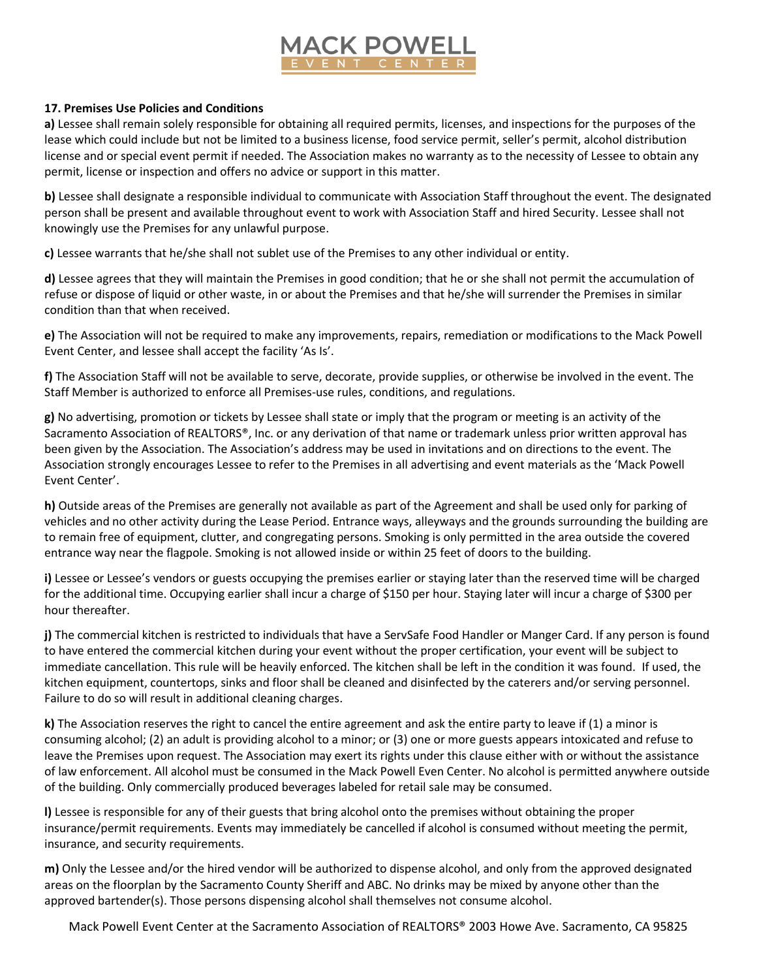

## **17. Premises Use Policies and Conditions**

**a)** Lessee shall remain solely responsible for obtaining all required permits, licenses, and inspections for the purposes of the lease which could include but not be limited to a business license, food service permit, seller's permit, alcohol distribution license and or special event permit if needed. The Association makes no warranty as to the necessity of Lessee to obtain any permit, license or inspection and offers no advice or support in this matter.

**b)** Lessee shall designate a responsible individual to communicate with Association Staff throughout the event. The designated person shall be present and available throughout event to work with Association Staff and hired Security. Lessee shall not knowingly use the Premises for any unlawful purpose.

**c)** Lessee warrants that he/she shall not sublet use of the Premises to any other individual or entity.

**d)** Lessee agrees that they will maintain the Premises in good condition; that he or she shall not permit the accumulation of refuse or dispose of liquid or other waste, in or about the Premises and that he/she will surrender the Premises in similar condition than that when received.

**e)** The Association will not be required to make any improvements, repairs, remediation or modifications to the Mack Powell Event Center, and lessee shall accept the facility 'As Is'.

**f)** The Association Staff will not be available to serve, decorate, provide supplies, or otherwise be involved in the event. The Staff Member is authorized to enforce all Premises-use rules, conditions, and regulations.

**g)** No advertising, promotion or tickets by Lessee shall state or imply that the program or meeting is an activity of the Sacramento Association of REALTORS®, Inc. or any derivation of that name or trademark unless prior written approval has been given by the Association. The Association's address may be used in invitations and on directions to the event. The Association strongly encourages Lessee to refer to the Premises in all advertising and event materials as the 'Mack Powell Event Center'.

**h)** Outside areas of the Premises are generally not available as part of the Agreement and shall be used only for parking of vehicles and no other activity during the Lease Period. Entrance ways, alleyways and the grounds surrounding the building are to remain free of equipment, clutter, and congregating persons. Smoking is only permitted in the area outside the covered entrance way near the flagpole. Smoking is not allowed inside or within 25 feet of doors to the building.

**i)** Lessee or Lessee's vendors or guests occupying the premises earlier or staying later than the reserved time will be charged for the additional time. Occupying earlier shall incur a charge of \$150 per hour. Staying later will incur a charge of \$300 per hour thereafter.

**j)** The commercial kitchen is restricted to individuals that have a ServSafe Food Handler or Manger Card. If any person is found to have entered the commercial kitchen during your event without the proper certification, your event will be subject to immediate cancellation. This rule will be heavily enforced. The kitchen shall be left in the condition it was found. If used, the kitchen equipment, countertops, sinks and floor shall be cleaned and disinfected by the caterers and/or serving personnel. Failure to do so will result in additional cleaning charges.

**k)** The Association reserves the right to cancel the entire agreement and ask the entire party to leave if (1) a minor is consuming alcohol; (2) an adult is providing alcohol to a minor; or (3) one or more guests appears intoxicated and refuse to leave the Premises upon request. The Association may exert its rights under this clause either with or without the assistance of law enforcement. All alcohol must be consumed in the Mack Powell Even Center. No alcohol is permitted anywhere outside of the building. Only commercially produced beverages labeled for retail sale may be consumed.

**l)** Lessee is responsible for any of their guests that bring alcohol onto the premises without obtaining the proper insurance/permit requirements. Events may immediately be cancelled if alcohol is consumed without meeting the permit, insurance, and security requirements.

**m)** Only the Lessee and/or the hired vendor will be authorized to dispense alcohol, and only from the approved designated areas on the floorplan by the Sacramento County Sheriff and ABC. No drinks may be mixed by anyone other than the approved bartender(s). Those persons dispensing alcohol shall themselves not consume alcohol.

Mack Powell Event Center at the Sacramento Association of REALTORS® 2003 Howe Ave. Sacramento, CA 95825